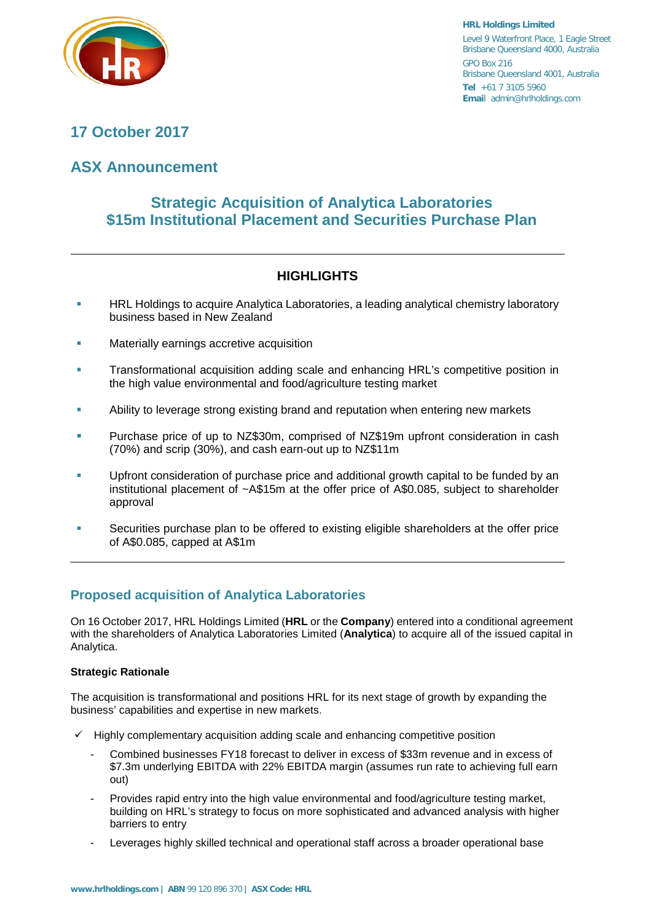

**HRL Holdings Limited** Level 9 Waterfront Place, 1 Eagle Street Brisbane Queensland 4000, Australia GPO Box 216 Brisbane Queensland 4001, Australia **Tel** +61 7 3105 5960 **Emai**l admin@hrlholdings.com

# **17 October 2017**

# **ASX Announcement**

# **Strategic Acquisition of Analytica Laboratories \$15m Institutional Placement and Securities Purchase Plan**

## **HIGHLIGHTS**

- **HRL Holdings to acquire Analytica Laboratories, a leading analytical chemistry laboratory** business based in New Zealand
- Materially earnings accretive acquisition
- **Transformational acquisition adding scale and enhancing HRL's competitive position in** the high value environmental and food/agriculture testing market
- Ability to leverage strong existing brand and reputation when entering new markets
- Purchase price of up to NZ\$30m, comprised of NZ\$19m upfront consideration in cash (70%) and scrip (30%), and cash earn-out up to NZ\$11m
- Upfront consideration of purchase price and additional growth capital to be funded by an institutional placement of ~A\$15m at the offer price of A\$0.085, subject to shareholder approval
- Securities purchase plan to be offered to existing eligible shareholders at the offer price of A\$0.085, capped at A\$1m

### **Proposed acquisition of Analytica Laboratories**

On 16 October 2017, HRL Holdings Limited (**HRL** or the **Company**) entered into a conditional agreement with the shareholders of Analytica Laboratories Limited (**Analytica**) to acquire all of the issued capital in Analytica.

### **Strategic Rationale**

The acquisition is transformational and positions HRL for its next stage of growth by expanding the business' capabilities and expertise in new markets.

- Highly complementary acquisition adding scale and enhancing competitive position
	- Combined businesses FY18 forecast to deliver in excess of \$33m revenue and in excess of \$7.3m underlying EBITDA with 22% EBITDA margin (assumes run rate to achieving full earn out)
	- Provides rapid entry into the high value environmental and food/agriculture testing market, building on HRL's strategy to focus on more sophisticated and advanced analysis with higher barriers to entry
	- Leverages highly skilled technical and operational staff across a broader operational base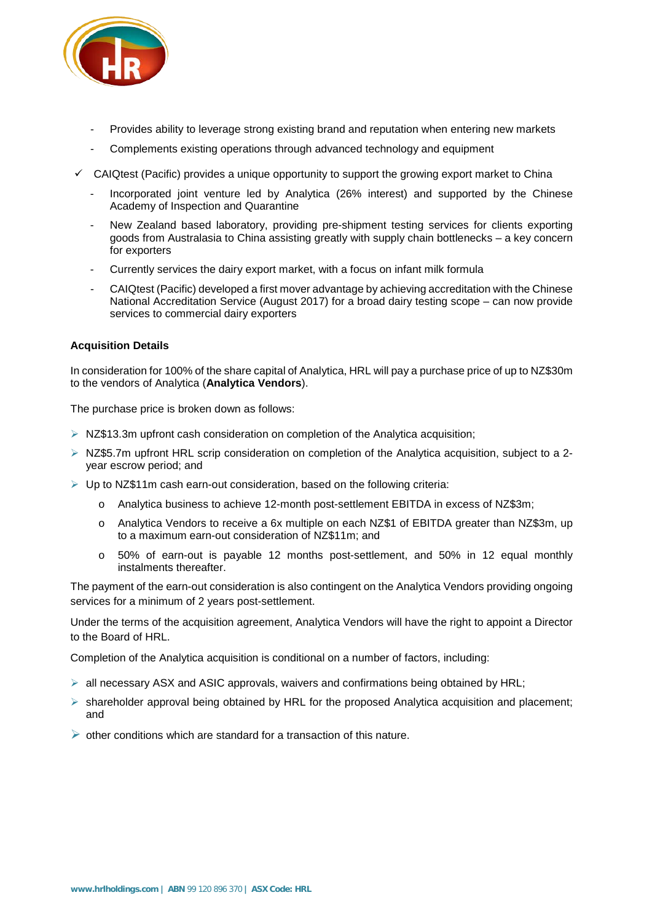

- Provides ability to leverage strong existing brand and reputation when entering new markets
- Complements existing operations through advanced technology and equipment
- $\checkmark$  CAIQtest (Pacific) provides a unique opportunity to support the growing export market to China
	- Incorporated joint venture led by Analytica (26% interest) and supported by the Chinese Academy of Inspection and Quarantine
	- New Zealand based laboratory, providing pre-shipment testing services for clients exporting goods from Australasia to China assisting greatly with supply chain bottlenecks – a key concern for exporters
	- Currently services the dairy export market, with a focus on infant milk formula
	- CAIQtest (Pacific) developed a first mover advantage by achieving accreditation with the Chinese National Accreditation Service (August 2017) for a broad dairy testing scope – can now provide services to commercial dairy exporters

### **Acquisition Details**

In consideration for 100% of the share capital of Analytica, HRL will pay a purchase price of up to NZ\$30m to the vendors of Analytica (**Analytica Vendors**).

The purchase price is broken down as follows:

- $\triangleright$  NZ\$13.3m upfront cash consideration on completion of the Analytica acquisition;
- $\triangleright$  NZ\$5.7m upfront HRL scrip consideration on completion of the Analytica acquisition, subject to a 2year escrow period; and
- $\triangleright$  Up to NZ\$11m cash earn-out consideration, based on the following criteria:
	- o Analytica business to achieve 12-month post-settlement EBITDA in excess of NZ\$3m;
	- o Analytica Vendors to receive a 6x multiple on each NZ\$1 of EBITDA greater than NZ\$3m, up to a maximum earn-out consideration of NZ\$11m; and
	- o 50% of earn-out is payable 12 months post-settlement, and 50% in 12 equal monthly instalments thereafter.

The payment of the earn-out consideration is also contingent on the Analytica Vendors providing ongoing services for a minimum of 2 years post-settlement.

Under the terms of the acquisition agreement, Analytica Vendors will have the right to appoint a Director to the Board of HRL.

Completion of the Analytica acquisition is conditional on a number of factors, including:

- $\triangleright$  all necessary ASX and ASIC approvals, waivers and confirmations being obtained by HRL;
- $\triangleright$  shareholder approval being obtained by HRL for the proposed Analytica acquisition and placement; and
- $\triangleright$  other conditions which are standard for a transaction of this nature.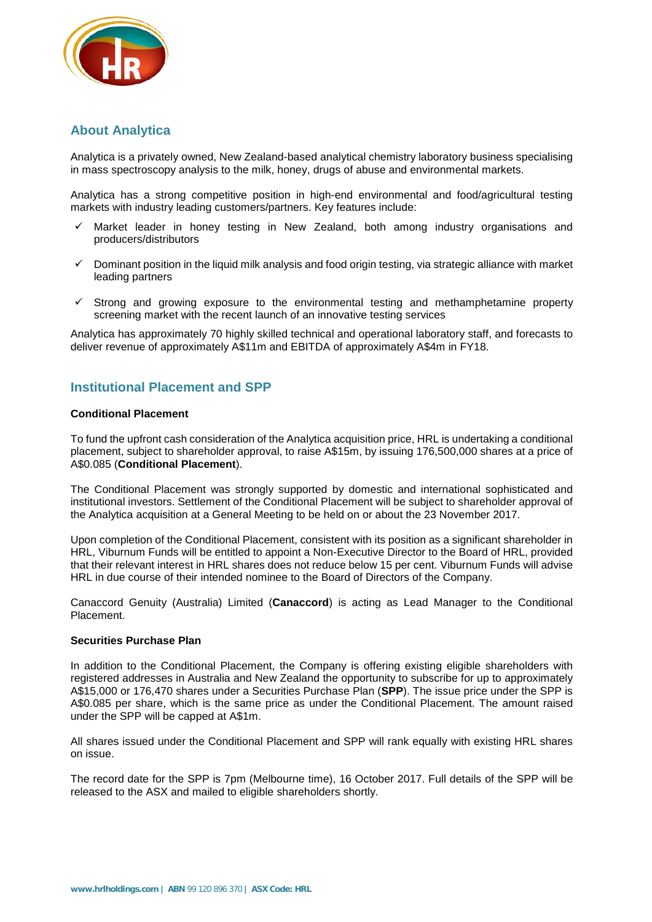

### **About Analytica**

Analytica is a privately owned, New Zealand-based analytical chemistry laboratory business specialising in mass spectroscopy analysis to the milk, honey, drugs of abuse and environmental markets.

Analytica has a strong competitive position in high-end environmental and food/agricultural testing markets with industry leading customers/partners. Key features include:

- $\checkmark$  Market leader in honey testing in New Zealand, both among industry organisations and producers/distributors
- Dominant position in the liquid milk analysis and food origin testing, via strategic alliance with market leading partners
- $\checkmark$  Strong and growing exposure to the environmental testing and methamphetamine property screening market with the recent launch of an innovative testing services

Analytica has approximately 70 highly skilled technical and operational laboratory staff, and forecasts to deliver revenue of approximately A\$11m and EBITDA of approximately A\$4m in FY18.

### **Institutional Placement and SPP**

### **Conditional Placement**

To fund the upfront cash consideration of the Analytica acquisition price, HRL is undertaking a conditional placement, subject to shareholder approval, to raise A\$15m, by issuing 176,500,000 shares at a price of A\$0.085 (**Conditional Placement**).

The Conditional Placement was strongly supported by domestic and international sophisticated and institutional investors. Settlement of the Conditional Placement will be subject to shareholder approval of the Analytica acquisition at a General Meeting to be held on or about the 23 November 2017.

Upon completion of the Conditional Placement, consistent with its position as a significant shareholder in HRL, Viburnum Funds will be entitled to appoint a Non-Executive Director to the Board of HRL, provided that their relevant interest in HRL shares does not reduce below 15 per cent. Viburnum Funds will advise HRL in due course of their intended nominee to the Board of Directors of the Company.

Canaccord Genuity (Australia) Limited (**Canaccord**) is acting as Lead Manager to the Conditional Placement.

### **Securities Purchase Plan**

In addition to the Conditional Placement, the Company is offering existing eligible shareholders with registered addresses in Australia and New Zealand the opportunity to subscribe for up to approximately A\$15,000 or 176,470 shares under a Securities Purchase Plan (**SPP**). The issue price under the SPP is A\$0.085 per share, which is the same price as under the Conditional Placement. The amount raised under the SPP will be capped at A\$1m.

All shares issued under the Conditional Placement and SPP will rank equally with existing HRL shares on issue.

The record date for the SPP is 7pm (Melbourne time), 16 October 2017. Full details of the SPP will be released to the ASX and mailed to eligible shareholders shortly.